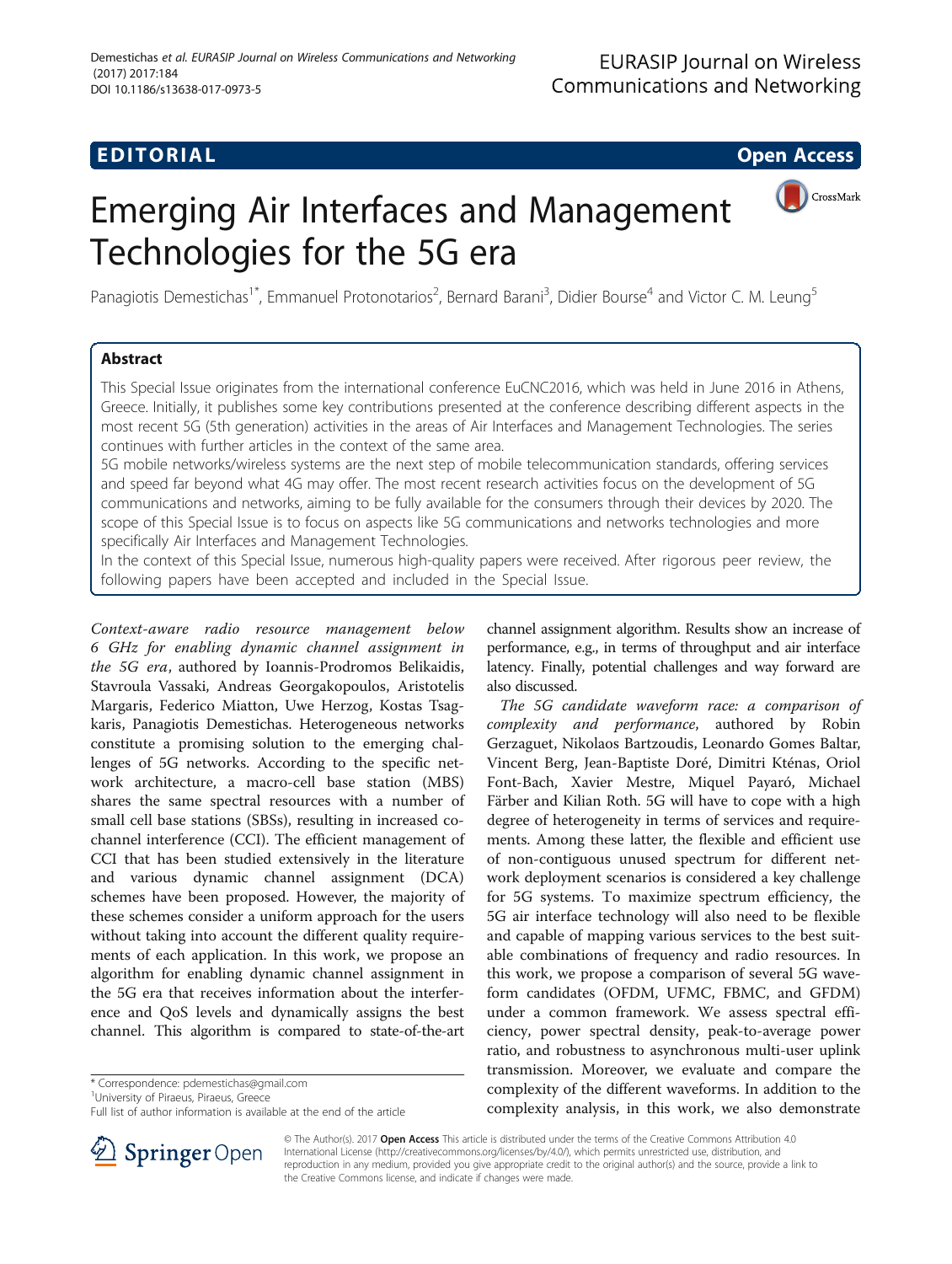## **EDITORIAL** CONTROL CONTROL CONTROL CONTROL CONTROL CONTROL CONTROL CONTROL CONTROL CONTROL CONTROL CONTROL CONTROL CONTROL CONTROL CONTROL CONTROL CONTROL CONTROL CONTROL CONTROL CONTROL CONTROL CONTROL CONTROL CONTROL CO

CrossMark

# Emerging Air Interfaces and Management Technologies for the 5G era

Panagiotis Demestichas<sup>1\*</sup>, Emmanuel Protonotarios<sup>2</sup>, Bernard Barani<sup>3</sup>, Didier Bourse<sup>4</sup> and Victor C. M. Leung<sup>5</sup>

### Abstract

This Special Issue originates from the international conference EuCNC2016, which was held in June 2016 in Athens, Greece. Initially, it publishes some key contributions presented at the conference describing different aspects in the most recent 5G (5th generation) activities in the areas of Air Interfaces and Management Technologies. The series continues with further articles in the context of the same area.

5G mobile networks/wireless systems are the next step of mobile telecommunication standards, offering services and speed far beyond what 4G may offer. The most recent research activities focus on the development of 5G communications and networks, aiming to be fully available for the consumers through their devices by 2020. The scope of this Special Issue is to focus on aspects like 5G communications and networks technologies and more specifically Air Interfaces and Management Technologies.

In the context of this Special Issue, numerous high-quality papers were received. After rigorous peer review, the following papers have been accepted and included in the Special Issue.

Context-aware radio resource management below 6 GHz for enabling dynamic channel assignment in the 5G era, authored by Ioannis-Prodromos Belikaidis, Stavroula Vassaki, Andreas Georgakopoulos, Aristotelis Margaris, Federico Miatton, Uwe Herzog, Kostas Tsagkaris, Panagiotis Demestichas. Heterogeneous networks constitute a promising solution to the emerging challenges of 5G networks. According to the specific network architecture, a macro-cell base station (MBS) shares the same spectral resources with a number of small cell base stations (SBSs), resulting in increased cochannel interference (CCI). The efficient management of CCI that has been studied extensively in the literature and various dynamic channel assignment (DCA) schemes have been proposed. However, the majority of these schemes consider a uniform approach for the users without taking into account the different quality requirements of each application. In this work, we propose an algorithm for enabling dynamic channel assignment in the 5G era that receives information about the interference and QoS levels and dynamically assigns the best channel. This algorithm is compared to state-of-the-art

\* Correspondence: [pdemestichas@gmail.com](mailto:pdemestichas@gmail.com) <sup>1</sup>

<sup>1</sup>University of Piraeus, Piraeus, Greece

Full list of author information is available at the end of the article



channel assignment algorithm. Results show an increase of performance, e.g., in terms of throughput and air interface latency. Finally, potential challenges and way forward are also discussed.

The 5G candidate waveform race: a comparison of complexity and performance, authored by Robin Gerzaguet, Nikolaos Bartzoudis, Leonardo Gomes Baltar, Vincent Berg, Jean-Baptiste Doré, Dimitri Kténas, Oriol Font-Bach, Xavier Mestre, Miquel Payaró, Michael Färber and Kilian Roth. 5G will have to cope with a high degree of heterogeneity in terms of services and requirements. Among these latter, the flexible and efficient use of non-contiguous unused spectrum for different network deployment scenarios is considered a key challenge for 5G systems. To maximize spectrum efficiency, the 5G air interface technology will also need to be flexible and capable of mapping various services to the best suitable combinations of frequency and radio resources. In this work, we propose a comparison of several 5G waveform candidates (OFDM, UFMC, FBMC, and GFDM) under a common framework. We assess spectral efficiency, power spectral density, peak-to-average power ratio, and robustness to asynchronous multi-user uplink transmission. Moreover, we evaluate and compare the complexity of the different waveforms. In addition to the complexity analysis, in this work, we also demonstrate

© The Author(s). 2017 Open Access This article is distributed under the terms of the Creative Commons Attribution 4.0 International License ([http://creativecommons.org/licenses/by/4.0/\)](http://creativecommons.org/licenses/by/4.0/), which permits unrestricted use, distribution, and reproduction in any medium, provided you give appropriate credit to the original author(s) and the source, provide a link to the Creative Commons license, and indicate if changes were made.